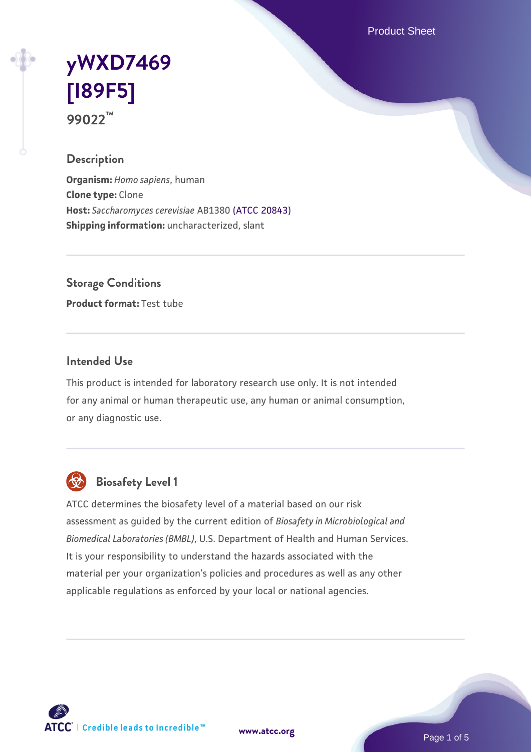Product Sheet

# **[yWXD7469](https://www.atcc.org/products/99022) [\[I89F5\]](https://www.atcc.org/products/99022) 99022™**

#### **Description**

**Organism:** *Homo sapiens*, human **Clone type:** Clone **Host:** *Saccharomyces cerevisiae* AB1380 [\(ATCC 20843\)](https://www.atcc.org/products/20843) **Shipping information:** uncharacterized, slant

**Storage Conditions**

**Product format:** Test tube

### **Intended Use**

This product is intended for laboratory research use only. It is not intended for any animal or human therapeutic use, any human or animal consumption, or any diagnostic use.



## **Biosafety Level 1**

ATCC determines the biosafety level of a material based on our risk assessment as guided by the current edition of *Biosafety in Microbiological and Biomedical Laboratories (BMBL)*, U.S. Department of Health and Human Services. It is your responsibility to understand the hazards associated with the material per your organization's policies and procedures as well as any other applicable regulations as enforced by your local or national agencies.

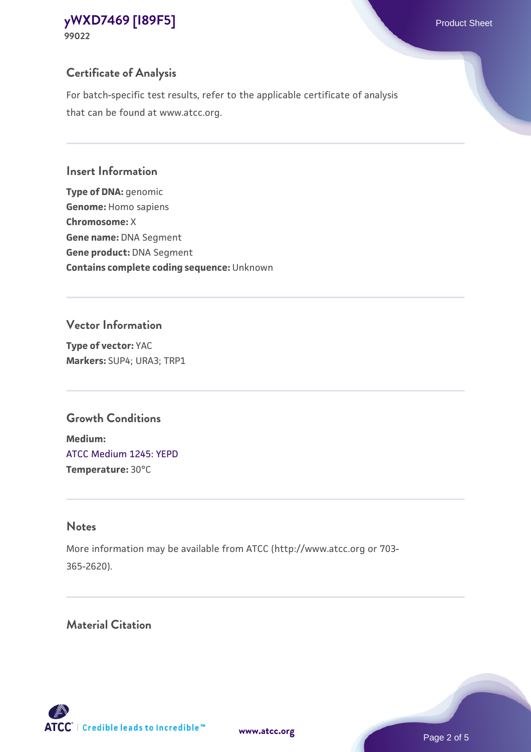## **Certificate of Analysis**

For batch-specific test results, refer to the applicable certificate of analysis that can be found at www.atcc.org.

#### **Insert Information**

**Type of DNA:** genomic **Genome:** Homo sapiens **Chromosome:** X **Gene name:** DNA Segment **Gene product:** DNA Segment **Contains complete coding sequence:** Unknown

#### **Vector Information**

**Type of vector:** YAC **Markers:** SUP4; URA3; TRP1

## **Growth Conditions**

**Medium:**  [ATCC Medium 1245: YEPD](https://www.atcc.org/-/media/product-assets/documents/microbial-media-formulations/1/2/4/5/atcc-medium-1245.pdf?rev=705ca55d1b6f490a808a965d5c072196) **Temperature:** 30°C

## **Notes**

More information may be available from ATCC (http://www.atcc.org or 703- 365-2620).

## **Material Citation**

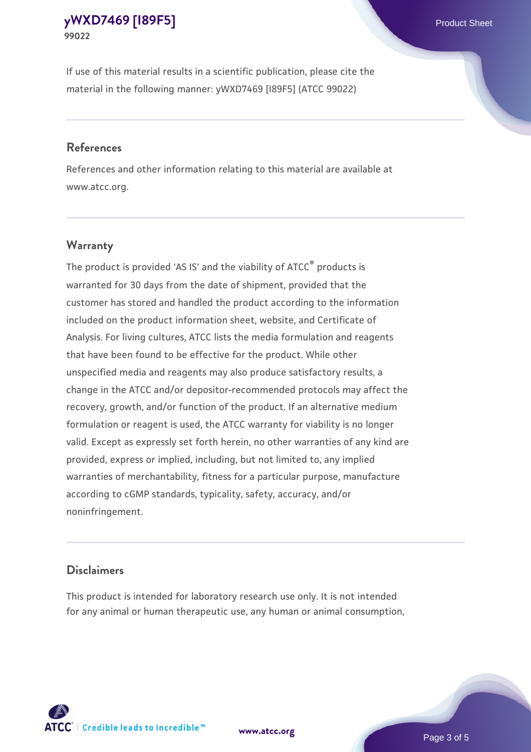If use of this material results in a scientific publication, please cite the material in the following manner: yWXD7469 [I89F5] (ATCC 99022)

#### **References**

References and other information relating to this material are available at www.atcc.org.

### **Warranty**

The product is provided 'AS IS' and the viability of  $ATCC<sup>®</sup>$  products is warranted for 30 days from the date of shipment, provided that the customer has stored and handled the product according to the information included on the product information sheet, website, and Certificate of Analysis. For living cultures, ATCC lists the media formulation and reagents that have been found to be effective for the product. While other unspecified media and reagents may also produce satisfactory results, a change in the ATCC and/or depositor-recommended protocols may affect the recovery, growth, and/or function of the product. If an alternative medium formulation or reagent is used, the ATCC warranty for viability is no longer valid. Except as expressly set forth herein, no other warranties of any kind are provided, express or implied, including, but not limited to, any implied warranties of merchantability, fitness for a particular purpose, manufacture according to cGMP standards, typicality, safety, accuracy, and/or noninfringement.

#### **Disclaimers**

This product is intended for laboratory research use only. It is not intended for any animal or human therapeutic use, any human or animal consumption,

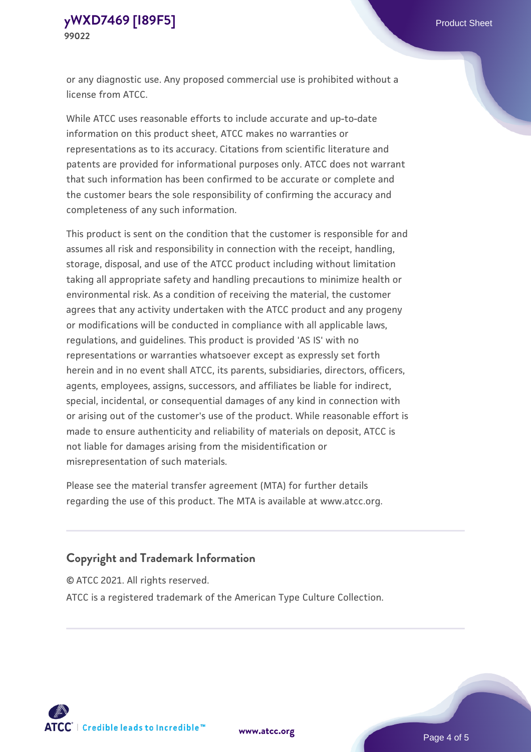or any diagnostic use. Any proposed commercial use is prohibited without a license from ATCC.

While ATCC uses reasonable efforts to include accurate and up-to-date information on this product sheet, ATCC makes no warranties or representations as to its accuracy. Citations from scientific literature and patents are provided for informational purposes only. ATCC does not warrant that such information has been confirmed to be accurate or complete and the customer bears the sole responsibility of confirming the accuracy and completeness of any such information.

This product is sent on the condition that the customer is responsible for and assumes all risk and responsibility in connection with the receipt, handling, storage, disposal, and use of the ATCC product including without limitation taking all appropriate safety and handling precautions to minimize health or environmental risk. As a condition of receiving the material, the customer agrees that any activity undertaken with the ATCC product and any progeny or modifications will be conducted in compliance with all applicable laws, regulations, and guidelines. This product is provided 'AS IS' with no representations or warranties whatsoever except as expressly set forth herein and in no event shall ATCC, its parents, subsidiaries, directors, officers, agents, employees, assigns, successors, and affiliates be liable for indirect, special, incidental, or consequential damages of any kind in connection with or arising out of the customer's use of the product. While reasonable effort is made to ensure authenticity and reliability of materials on deposit, ATCC is not liable for damages arising from the misidentification or misrepresentation of such materials.

Please see the material transfer agreement (MTA) for further details regarding the use of this product. The MTA is available at www.atcc.org.

### **Copyright and Trademark Information**

© ATCC 2021. All rights reserved.

ATCC is a registered trademark of the American Type Culture Collection.



**[www.atcc.org](http://www.atcc.org)**

Page 4 of 5